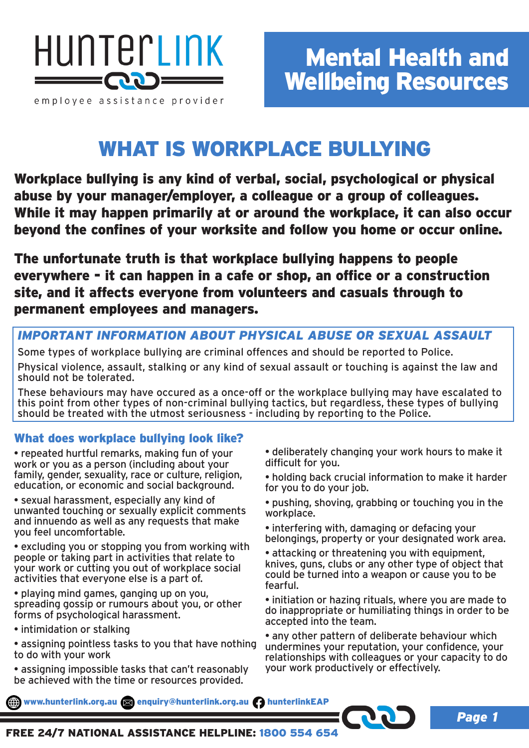

# WHAT IS WORKPLACE BULLYING

Workplace bullying is any kind of verbal, social, psychological or physical abuse by your manager/employer, a colleague or a group of colleagues. While it may happen primarily at or around the workplace, it can also occur beyond the confines of your worksite and follow you home or occur online.

The unfortunate truth is that workplace bullying happens to people everywhere - it can happen in a cafe or shop, an office or a construction site, and it affects everyone from volunteers and casuals through to permanent employees and managers.

#### *IMPORTANT INFORMATION ABOUT PHYSICAL ABUSE OR SEXUAL ASSAULT*

Some types of workplace bullying are criminal offences and should be reported to Police. Physical violence, assault, stalking or any kind of sexual assault or touching is against the law and should not be tolerated.

These behaviours may have occured as a once-off or the workplace bullying may have escalated to this point from other types of non-criminal bullying tactics, but regardless, these types of bullying should be treated with the utmost seriousness - including by reporting to the Police.

### What does workplace bullying look like?

- repeated hurtful remarks, making fun of your work or you as a person (including about your family, gender, sexuality, race or culture, religion, education, or economic and social background.
- sexual harassment, especially any kind of unwanted touching or sexually explicit comments and innuendo as well as any requests that make you feel uncomfortable.
- excluding you or stopping you from working with people or taking part in activities that relate to your work or cutting you out of workplace social activities that everyone else is a part of.
- playing mind games, ganging up on you, spreading gossip or rumours about you, or other forms of psychological harassment.
- intimidation or stalking
- assigning pointless tasks to you that have nothing to do with your work
- assigning impossible tasks that can't reasonably be achieved with the time or resources provided.
- deliberately changing your work hours to make it difficult for you.
- holding back crucial information to make it harder for you to do your job.
- pushing, shoving, grabbing or touching you in the workplace.
- interfering with, damaging or defacing your belongings, property or your designated work area.
- attacking or threatening you with equipment, knives, guns, clubs or any other type of object that could be turned into a weapon or cause you to be fearful.
- initiation or hazing rituals, where you are made to do inappropriate or humiliating things in order to be accepted into the team.
- any other pattern of deliberate behaviour which undermines your reputation, your confidence, your relationships with colleagues or your capacity to do your work productively or effectively.

*Page 1*

www.hunterlink.org.au and enquiry@hunterlink.org.au hunterlinkEAP